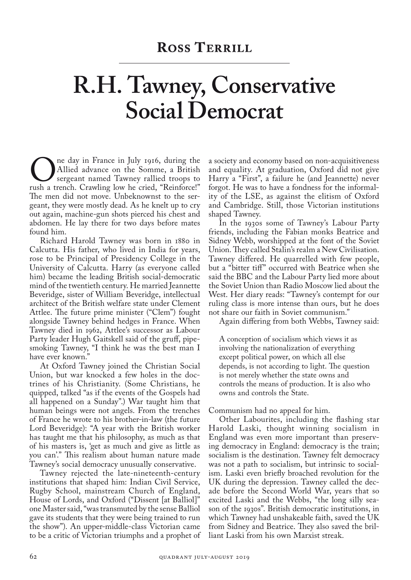## **R.H. Tawney, Conservative Social Democrat**

The day in France in July 1916, during the<br>
Sergeant named Tawney rallied troops to<br>
rush a trench. Crawling low he cried, "Reinforce!" Allied advance on the Somme, a British sergeant named Tawney rallied troops to The men did not move. Unbeknownst to the sergeant, they were mostly dead. As he knelt up to cry out again, machine-gun shots pierced his chest and abdomen. He lay there for two days before mates found him.

Richard Harold Tawney was born in 1880 in Calcutta. His father, who lived in India for years, rose to be Principal of Presidency College in the University of Calcutta. Harry (as everyone called him) became the leading British social-democratic mind of the twentieth century. He married Jeannette Beveridge, sister of William Beveridge, intellectual architect of the British welfare state under Clement Attlee. The future prime minister ("Clem") fought alongside Tawney behind hedges in France. When Tawney died in 1962, Attlee's successor as Labour Party leader Hugh Gaitskell said of the gruff, pipesmoking Tawney, "I think he was the best man I have ever known."

At Oxford Tawney joined the Christian Social Union, but war knocked a few holes in the doctrines of his Christianity. (Some Christians, he quipped, talked "as if the events of the Gospels had all happened on a Sunday".) War taught him that human beings were not angels. From the trenches of France he wrote to his brother-in-law (the future Lord Beveridge): "A year with the British worker has taught me that his philosophy, as much as that of his masters is, 'get as much and give as little as you can'." This realism about human nature made Tawney's social democracy unusually conservative.

Tawney rejected the late-nineteenth-century institutions that shaped him: Indian Civil Service, Rugby School, mainstream Church of England, House of Lords, and Oxford ("Dissent [at Balliol]" one Master said, "was transmuted by the sense Balliol gave its students that they were being trained to run the show"). An upper-middle-class Victorian came to be a critic of Victorian triumphs and a prophet of

a society and economy based on non-acquisitiveness and equality. At graduation, Oxford did not give Harry a "First", a failure he (and Jeannette) never forgot. He was to have a fondness for the informality of the LSE, as against the elitism of Oxford and Cambridge. Still, those Victorian institutions shaped Tawney.

In the 1930s some of Tawney's Labour Party friends, including the Fabian monks Beatrice and Sidney Webb, worshipped at the font of the Soviet Union. They called Stalin's realm a New Civilisation. Tawney differed. He quarrelled with few people, but a "bitter tiff" occurred with Beatrice when she said the BBC and the Labour Party lied more about the Soviet Union than Radio Moscow lied about the West. Her diary reads: "Tawney's contempt for our ruling class is more intense than ours, but he does not share our faith in Soviet communism."

Again differing from both Webbs, Tawney said:

A conception of socialism which views it as involving the nationalization of everything except political power, on which all else depends, is not according to light. The question is not merely whether the state owns and controls the means of production. It is also who owns and controls the State.

Communism had no appeal for him.

Other Labourites, including the flashing star Harold Laski, thought winning socialism in England was even more important than preserving democracy in England: democracy is the train; socialism is the destination. Tawney felt democracy was not a path to socialism, but intrinsic to socialism. Laski even briefly broached revolution for the UK during the depression. Tawney called the decade before the Second World War, years that so excited Laski and the Webbs, "the long silly season of the 1930s". British democratic institutions, in which Tawney had unshakeable faith, saved the UK from Sidney and Beatrice. They also saved the brilliant Laski from his own Marxist streak.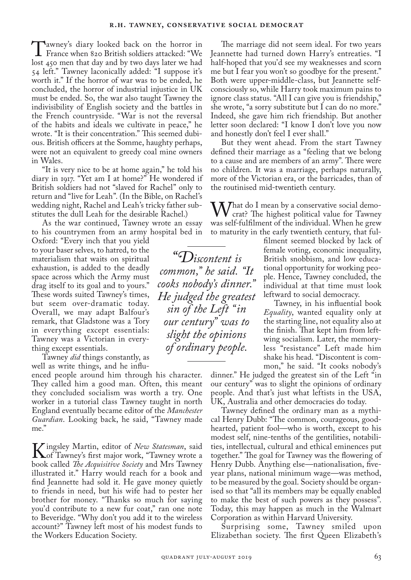Tawney's diary looked back on the horror in France when 820 British soldiers attacked: "We lost 450 men that day and by two days later we had 54 left." Tawney laconically added: "I suppose it's worth it." If the horror of war was to be ended, he concluded, the horror of industrial injustice in UK must be ended. So, the war also taught Tawney the indivisibility of English society and the battles in the French countryside. "War is not the reversal of the habits and ideals we cultivate in peace," he wrote. "It is their concentration." This seemed dubious. British officers at the Somme, haughty perhaps, were not an equivalent to greedy coal mine owners in Wales.

"It is very nice to be at home again," he told his diary in 1917. "Yet am I at home?" He wondered if British soldiers had not "slaved for Rachel" only to return and "live for Leah". (In the Bible, on Rachel's wedding night, Rachel and Leah's tricky father substitutes the dull Leah for the desirable Rachel.)

As the war continued, Tawney wrote an essay to his countrymen from an army hospital bed in

Oxford: "Every inch that you yield to your baser selves, to hatred, to the materialism that waits on spiritual exhaustion, is added to the deadly space across which the Army must drag itself to its goal and to yours." These words suited Tawney's times, but seem over-dramatic today. Overall, we may adapt Balfour's remark, that Gladstone was a Tory in everything except essentials: Tawney was a Victorian in everything except essentials.

Tawney *did* things constantly, as well as write things, and he influ-

enced people around him through his character. They called him a good man. Often, this meant they concluded socialism was worth a try. One worker in a tutorial class Tawney taught in north England eventually became editor of the *Manchester Guardian*. Looking back, he said, "Tawney made me."

**K** ingsley Martin, editor of *New Statesman*, said<br>hook called *The Acquisitive Society* and Mrs Tawney book called *The Acquisitive Society* and Mrs Tawney illustrated it." Harry would reach for a book and find Jeannette had sold it. He gave money quietly to friends in need, but his wife had to pester her brother for money. "Thanks so much for saying you'd contribute to a new fur coat," ran one note to Beveridge. "Why don't you add it to the wireless account?" Tawney left most of his modest funds to the Workers Education Society.

The marriage did not seem ideal. For two years Jeannette had turned down Harry's entreaties. "I half-hoped that you'd see my weaknesses and scorn me but I fear you won't so goodbye for the present." Both were upper-middle-class, but Jeannette selfconsciously so, while Harry took maximum pains to ignore class status. "All I can give you is friendship," she wrote, "a sorry substitute but I can do no more." Indeed, she gave him rich friendship. But another letter soon declared: "I know I don't love you now and honestly don't feel I ever shall."

But they went ahead. From the start Tawney defined their marriage as a "feeling that we belong to a cause and are members of an army". There were no children. It was a marriage, perhaps naturally, more of the Victorian era, or the barricades, than of the routinised mid-twentieth century.

 $\bf M$  That do I mean by a conservative social democrat? The highest political value for Tawney was self-fulfilment of the individual. When he grew to maturity in the early twentieth century, that ful-

filment seemed blocked by lack of female voting, economic inequality, British snobbism, and low educational opportunity for working people. Hence, Tawney concluded, the individual at that time must look leftward to social democracy.

Tawney, in his influential book *Equality*, wanted equality only at the starting line, not equality also at the finish. That kept him from leftwing socialism. Later, the memoryless "resistance" Left made him shake his head. "Discontent is common," he said. "It cooks nobody's

dinner." He judged the greatest sin of the Left "in our century" was to slight the opinions of ordinary people. And that's just what leftists in the USA, UK, Australia and other democracies do today.

Tawney defined the ordinary man as a mythical Henry Dubb: "The common, courageous, goodhearted, patient fool—who is worth, except to his modest self, nine-tenths of the gentilities, notabilities, intellectual, cultural and ethical eminences put together." The goal for Tawney was the flowering of Henry Dubb. Anything else—nationalisation, fiveyear plans, national minimum wage—was method, to be measured by the goal. Society should be organised so that "all its members may be equally enabled to make the best of such powers as they possess". Today, this may happen as much in the Walmart Corporation as within Harvard University.

Surprising some, Tawney smiled upon Elizabethan society. The first Queen Elizabeth's

*"Discontent is common," he said. "It cooks nobody's dinner." He judged the greatest sin of the Left "in our century" was to slight the opinions of ordinary people.*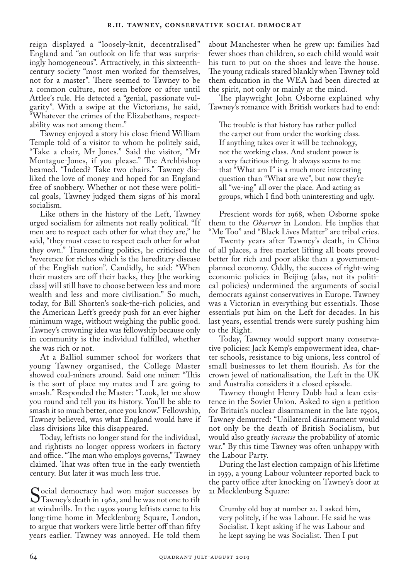reign displayed a "loosely-knit, decentralised" England and "an outlook on life that was surprisingly homogeneous". Attractively, in this sixteenthcentury society "most men worked for themselves, not for a master". There seemed to Tawney to be a common culture, not seen before or after until Attlee's rule. He detected a "genial, passionate vulgarity". With a swipe at the Victorians, he said, "Whatever the crimes of the Elizabethans, respectability was not among them."

Tawney enjoyed a story his close friend William Temple told of a visitor to whom he politely said, "Take a chair, Mr Jones." Said the visitor, "Mr Montague-Jones, if you please." The Archbishop beamed. "Indeed? Take two chairs." Tawney disliked the love of money and hoped for an England free of snobbery. Whether or not these were political goals, Tawney judged them signs of his moral socialism.

Like others in the history of the Left, Tawney urged socialism for ailments not really political. "If men are to respect each other for what they are," he said, "they must cease to respect each other for what they own." Transcending politics, he criticised the "reverence for riches which is the hereditary disease of the English nation". Candidly, he said: "When their masters are off their backs, they [the working class] will still have to choose between less and more wealth and less and more civilisation." So much, today, for Bill Shorten's soak-the-rich policies, and the American Left's greedy push for an ever higher minimum wage, without weighing the public good. Tawney's crowning idea was fellowship because only in community is the individual fulfilled, whether she was rich or not.

At a Balliol summer school for workers that young Tawney organised, the College Master showed coal-miners around. Said one miner: "This is the sort of place my mates and I are going to smash." Responded the Master: "Look, let me show you round and tell you its history. You'll be able to smash it so much better, once you know." Fellowship, Tawney believed, was what England would have if class divisions like this disappeared.

Today, leftists no longer stand for the individual, and rightists no longer oppress workers in factory and office. "The man who employs governs," Tawney claimed. That was often true in the early twentieth century. But later it was much less true.

Social democracy had won major successes by<br>Tawney's death in 1962, and he was not one to tilt<br>at windmills. In the 1950s young leftists came to his at windmills. In the 1950s young leftists came to his long-time home in Mecklenburg Square, London, to argue that workers were little better off than fifty years earlier. Tawney was annoyed. He told them

about Manchester when he grew up: families had fewer shoes than children, so each child would wait his turn to put on the shoes and leave the house. The young radicals stared blankly when Tawney told them education in the WEA had been directed at the spirit, not only or mainly at the mind.

The playwright John Osborne explained why Tawney's romance with British workers had to end:

The trouble is that history has rather pulled the carpet out from under the working class. If anything takes over it will be technology, not the working class. And student power is a very factitious thing. It always seems to me that "What am I" is a much more interesting question than "What are we", but now they're all "we-ing" all over the place. And acting as groups, which I find both uninteresting and ugly.

Prescient words for 1968, when Osborne spoke them to the *Observer* in London. He implies that "Me Too" and "Black Lives Matter" are tribal cries.

Twenty years after Tawney's death, in China of all places, a free market lifting all boats proved better for rich and poor alike than a governmentplanned economy. Oddly, the success of right-wing economic policies in Beijing (alas, not its political policies) undermined the arguments of social democrats against conservatives in Europe. Tawney was a Victorian in everything but essentials. Those essentials put him on the Left for decades. In his last years, essential trends were surely pushing him to the Right.

Today, Tawney would support many conservative policies: Jack Kemp's empowerment idea, charter schools, resistance to big unions, less control of small businesses to let them flourish. As for the crown jewel of nationalisation, the Left in the UK and Australia considers it a closed episode.

Tawney thought Henry Dubb had a lean existence in the Soviet Union. Asked to sign a petition for Britain's nuclear disarmament in the late 1950s, Tawney demurred: "Unilateral disarmament would not only be the death of British Socialism, but would also greatly *increase* the probability of atomic war." By this time Tawney was often unhappy with the Labour Party.

During the last election campaign of his lifetime in 1959, a young Labour volunteer reported back to the party office after knocking on Tawney's door at 21 Mecklenburg Square:

Crumby old boy at number 21. I asked him, very politely, if he was Labour. He said he was Socialist. I kept asking if he was Labour and he kept saying he was Socialist. Then I put